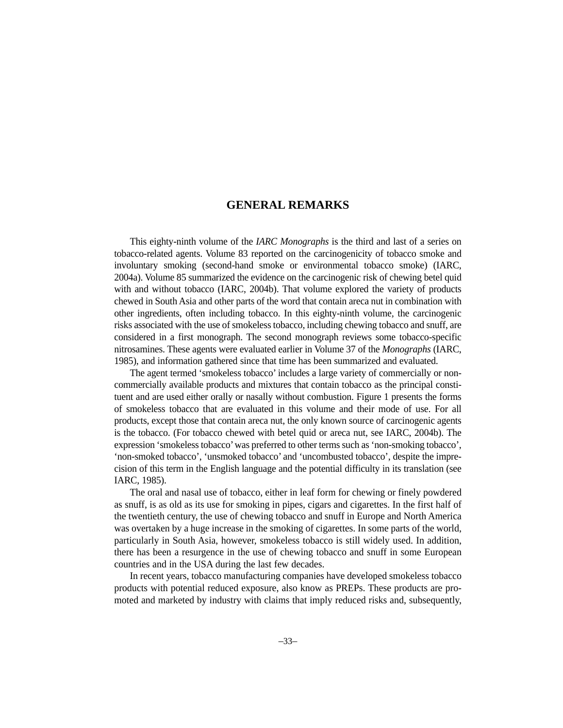## **GENERAL REMARKS**

This eighty-ninth volume of the *IARC Monographs* is the third and last of a series on tobacco-related agents. Volume 83 reported on the carcinogenicity of tobacco smoke and involuntary smoking (second-hand smoke or environmental tobacco smoke) (IARC, 2004a). Volume 85 summarized the evidence on the carcinogenic risk of chewing betel quid with and without tobacco (IARC, 2004b). That volume explored the variety of products chewed in South Asia and other parts of the word that contain areca nut in combination with other ingredients, often including tobacco. In this eighty-ninth volume*,* the carcinogenic risks associated with the use of smokeless tobacco, including chewing tobacco and snuff, are considered in a first monograph. The second monograph reviews some tobacco-specific nitrosamines. These agents were evaluated earlier in Volume 37 of the *Monographs* (IARC, 1985), and information gathered since that time has been summarized and evaluated.

The agent termed 'smokeless tobacco' includes a large variety of commercially or noncommercially available products and mixtures that contain tobacco as the principal constituent and are used either orally or nasally without combustion. Figure 1 presents the forms of smokeless tobacco that are evaluated in this volume and their mode of use. For all products, except those that contain areca nut, the only known source of carcinogenic agents is the tobacco. (For tobacco chewed with betel quid or areca nut, see IARC, 2004b). The expression 'smokeless tobacco'was preferred to other terms such as 'non-smoking tobacco', 'non-smoked tobacco', 'unsmoked tobacco' and 'uncombusted tobacco', despite the imprecision of this term in the English language and the potential difficulty in its translation (see IARC, 1985).

The oral and nasal use of tobacco, either in leaf form for chewing or finely powdered as snuff, is as old as its use for smoking in pipes, cigars and cigarettes. In the first half of the twentieth century, the use of chewing tobacco and snuff in Europe and North America was overtaken by a huge increase in the smoking of cigarettes. In some parts of the world, particularly in South Asia, however, smokeless tobacco is still widely used. In addition, there has been a resurgence in the use of chewing tobacco and snuff in some European countries and in the USA during the last few decades.

In recent years, tobacco manufacturing companies have developed smokeless tobacco products with potential reduced exposure, also know as PREPs. These products are promoted and marketed by industry with claims that imply reduced risks and, subsequently,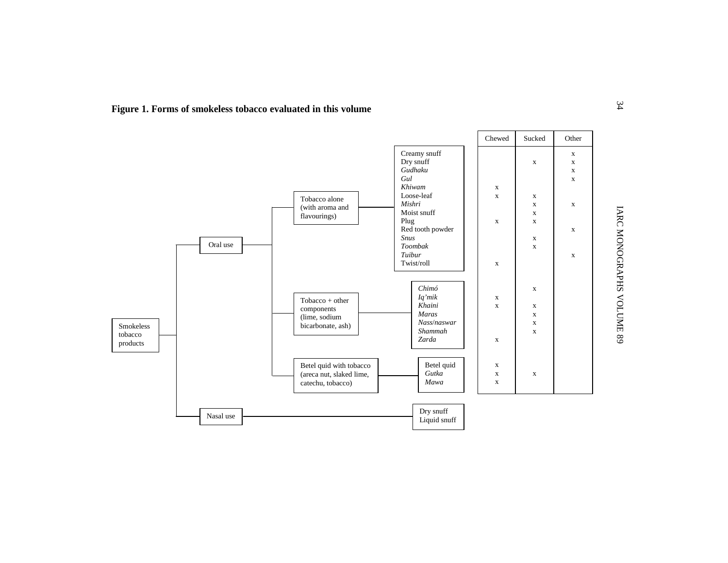

**Figure 1. Forms of smokeless tobacco evaluated in this volume**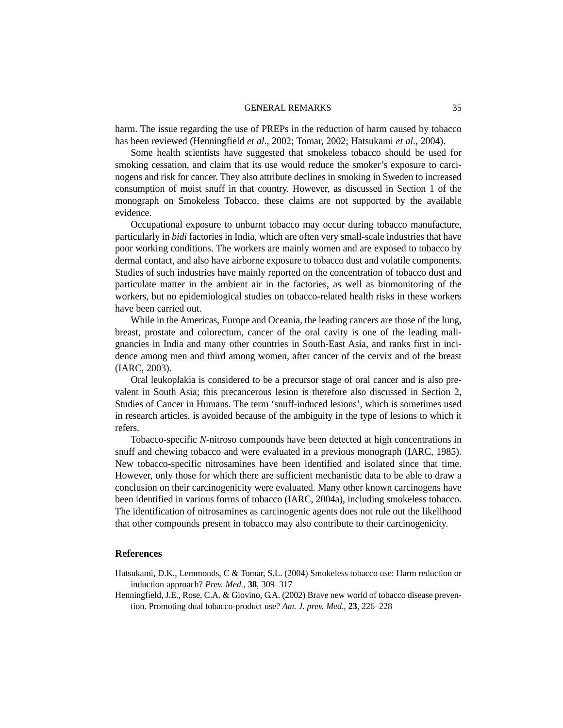## GENERAL REMARKS 35

harm. The issue regarding the use of PREPs in the reduction of harm caused by tobacco has been reviewed (Henningfield *et al*., 2002; Tomar, 2002; Hatsukami *et al*., 2004).

Some health scientists have suggested that smokeless tobacco should be used for smoking cessation, and claim that its use would reduce the smoker's exposure to carcinogens and risk for cancer. They also attribute declines in smoking in Sweden to increased consumption of moist snuff in that country. However, as discussed in Section 1 of the monograph on Smokeless Tobacco, these claims are not supported by the available evidence.

Occupational exposure to unburnt tobacco may occur during tobacco manufacture, particularly in *bidi* factories in India, which are often very small-scale industries that have poor working conditions. The workers are mainly women and are exposed to tobacco by dermal contact, and also have airborne exposure to tobacco dust and volatile components. Studies of such industries have mainly reported on the concentration of tobacco dust and particulate matter in the ambient air in the factories, as well as biomonitoring of the workers, but no epidemiological studies on tobacco-related health risks in these workers have been carried out.

While in the Americas, Europe and Oceania, the leading cancers are those of the lung, breast, prostate and colorectum, cancer of the oral cavity is one of the leading malignancies in India and many other countries in South-East Asia, and ranks first in incidence among men and third among women, after cancer of the cervix and of the breast (IARC, 2003).

Oral leukoplakia is considered to be a precursor stage of oral cancer and is also prevalent in South Asia; this precancerous lesion is therefore also discussed in Section 2, Studies of Cancer in Humans. The term 'snuff-induced lesions', which is sometimes used in research articles, is avoided because of the ambiguity in the type of lesions to which it refers.

Tobacco-specific *N*-nitroso compounds have been detected at high concentrations in snuff and chewing tobacco and were evaluated in a previous monograph (IARC, 1985). New tobacco-specific nitrosamines have been identified and isolated since that time. However, only those for which there are sufficient mechanistic data to be able to draw a conclusion on their carcinogenicity were evaluated. Many other known carcinogens have been identified in various forms of tobacco (IARC, 2004a), including smokeless tobacco. The identification of nitrosamines as carcinogenic agents does not rule out the likelihood that other compounds present in tobacco may also contribute to their carcinogenicity.

## **References**

- Hatsukami, D.K., Lemmonds, C & Tomar, S.L. (2004) Smokeless tobacco use: Harm reduction or induction approach? *Prev. Med.*, **38**, 309–317
- Henningfield, J.E., Rose, C.A. & Giovino, G.A. (2002) Brave new world of tobacco disease prevention. Promoting dual tobacco-product use? *Am. J. prev. Med*., **23**, 226–228